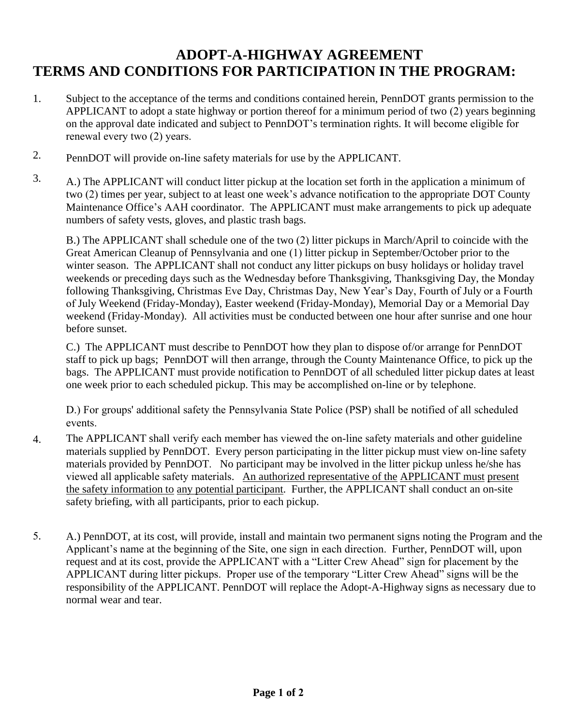## **ADOPT-A-HIGHWAY AGREEMENT TERMS AND CONDITIONS FOR PARTICIPATION IN THE PROGRAM:**

- 1. Subject to the acceptance of the terms and conditions contained herein, PennDOT grants permission to the APPLICANT to adopt a state highway or portion thereof for a minimum period of two (2) years beginning on the approval date indicated and subject to PennDOT's termination rights. It will become eligible for renewal every two (2) years.
- 2. PennDOT will provide on-line safety materials for use by the APPLICANT.
- 3. A.) The APPLICANT will conduct litter pickup at the location set forth in the application a minimum of two (2) times per year, subject to at least one week's advance notification to the appropriate DOT County Maintenance Office's AAH coordinator. The APPLICANT must make arrangements to pick up adequate numbers of safety vests, gloves, and plastic trash bags.

B.) The APPLICANT shall schedule one of the two (2) litter pickups in March/April to coincide with the Great American Cleanup of Pennsylvania and one (1) litter pickup in September/October prior to the winter season. The APPLICANT shall not conduct any litter pickups on busy holidays or holiday travel weekends or preceding days such as the Wednesday before Thanksgiving, Thanksgiving Day, the Monday following Thanksgiving, Christmas Eve Day, Christmas Day, New Year's Day, Fourth of July or a Fourth of July Weekend (Friday-Monday), Easter weekend (Friday-Monday), Memorial Day or a Memorial Day weekend (Friday-Monday). All activities must be conducted between one hour after sunrise and one hour before sunset.

C.) The APPLICANT must describe to PennDOT how they plan to dispose of/or arrange for PennDOT staff to pick up bags; PennDOT will then arrange, through the County Maintenance Office, to pick up the bags. The APPLICANT must provide notification to PennDOT of all scheduled litter pickup dates at least one week prior to each scheduled pickup. This may be accomplished on-line or by telephone.

D.) For groups' additional safety the Pennsylvania State Police (PSP) shall be notified of all scheduled events.

- 4. The APPLICANT shall verify each member has viewed the on-line safety materials and other guideline materials supplied by PennDOT. Every person participating in the litter pickup must view on-line safety materials provided by PennDOT. No participant may be involved in the litter pickup unless he/she has viewed all applicable safety materials. An authorized representative of the APPLICANT must present the safety information to any potential participant. Further, the APPLICANT shall conduct an on-site safety briefing, with all participants, prior to each pickup.
- 5. A.) PennDOT, at its cost, will provide, install and maintain two permanent signs noting the Program and the Applicant's name at the beginning of the Site, one sign in each direction. Further, PennDOT will, upon request and at its cost, provide the APPLICANT with a "Litter Crew Ahead" sign for placement by the APPLICANT during litter pickups. Proper use of the temporary "Litter Crew Ahead" signs will be the responsibility of the APPLICANT. PennDOT will replace the Adopt-A-Highway signs as necessary due to normal wear and tear.